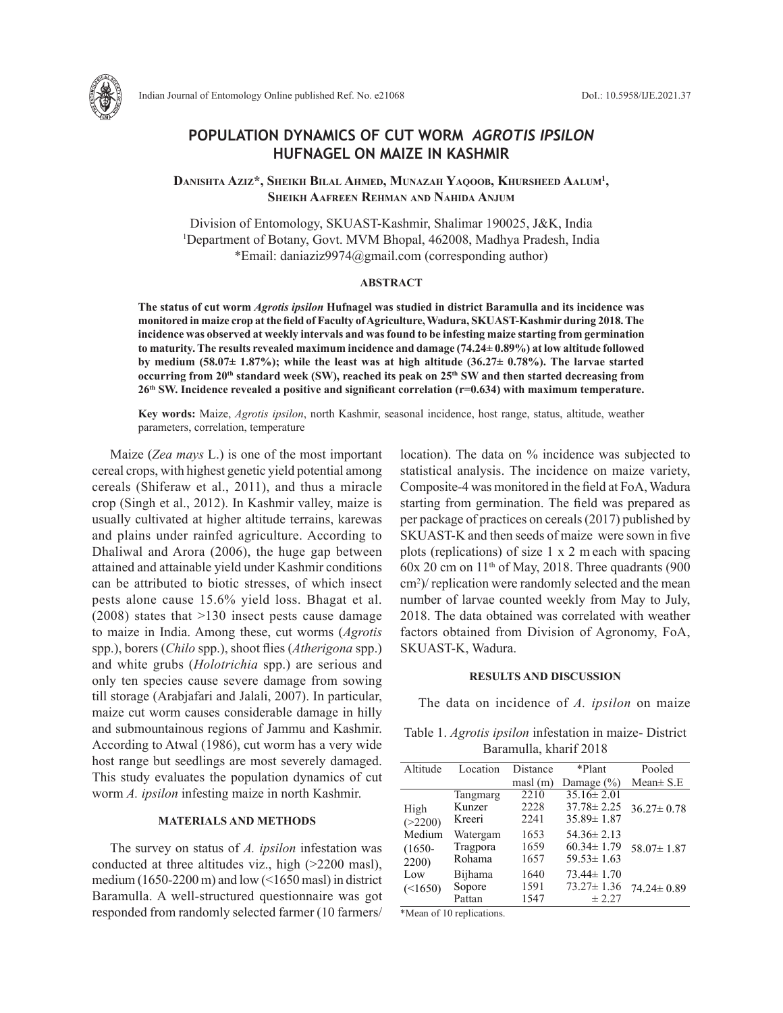

Indian Journal of Entomology Online published Ref. No. e21068 DoI.: 10.5958/IJE.2021.37

# **POPULATION DYNAMICS OF CUT WORM** *AGROTIS IPSILON* **HUFNAGEL ON MAIZE IN KASHMIR**

**Danishta Aziz\*, Sheikh Bilal Ahmed, Munazah Yaqoob, Khursheed Aalum1 , Sheikh Aafreen Rehman and Nahida Anjum**

Division of Entomology, SKUAST-Kashmir, Shalimar 190025, J&K, India 1 Department of Botany, Govt. MVM Bhopal, 462008, Madhya Pradesh, India \*Email: daniaziz9974@gmail.com (corresponding author)

### **ABSTRACT**

**The status of cut worm** *Agrotis ipsilon* **Hufnagel was studied in district Baramulla and its incidence was monitored in maize crop at the field of Faculty of Agriculture, Wadura, SKUAST-Kashmir during 2018. The incidence was observed at weekly intervals and was found to be infesting maize starting from germination to maturity. The results revealed maximum incidence and damage (74.24± 0.89%) at low altitude followed by medium (58.07± 1.87%); while the least was at high altitude (36.27± 0.78%). The larvae started occurring from 20th standard week (SW), reached its peak on 25th SW and then started decreasing from 26th SW. Incidence revealed a positive and significant correlation (r=0.634) with maximum temperature.**

**Key words:** Maize, *Agrotis ipsilon*, north Kashmir, seasonal incidence, host range, status, altitude, weather parameters, correlation, temperature

Maize (*Zea mays* L.) is one of the most important cereal crops, with highest genetic yield potential among cereals (Shiferaw et al., 2011), and thus a miracle crop (Singh et al., 2012). In Kashmir valley, maize is usually cultivated at higher altitude terrains, karewas and plains under rainfed agriculture. According to Dhaliwal and Arora (2006), the huge gap between attained and attainable yield under Kashmir conditions can be attributed to biotic stresses, of which insect pests alone cause 15.6% yield loss. Bhagat et al. (2008) states that >130 insect pests cause damage to maize in India. Among these, cut worms (*Agrotis*  spp.), borers (*Chilo* spp.), shoot flies (*Atherigona* spp.) and white grubs (*Holotrichia* spp.) are serious and only ten species cause severe damage from sowing till storage (Arabjafari and Jalali, 2007). In particular, maize cut worm causes considerable damage in hilly and submountainous regions of Jammu and Kashmir. According to Atwal (1986), cut worm has a very wide host range but seedlings are most severely damaged. This study evaluates the population dynamics of cut worm *A. ipsilon* infesting maize in north Kashmir.

#### **MATERIALS AND METHODS**

The survey on status of *A. ipsilon* infestation was conducted at three altitudes viz., high (>2200 masl), medium (1650-2200 m) and low ( $\leq$ 1650 masl) in district Baramulla. A well-structured questionnaire was got responded from randomly selected farmer (10 farmers/ location). The data on % incidence was subjected to statistical analysis. The incidence on maize variety, Composite-4 was monitored in the field at FoA, Wadura starting from germination. The field was prepared as per package of practices on cereals (2017) published by SKUAST-K and then seeds of maize were sown in five plots (replications) of size 1 x 2 m each with spacing  $60x 20$  cm on  $11<sup>th</sup>$  of May, 2018. Three quadrants (900) cm2 )/ replication were randomly selected and the mean number of larvae counted weekly from May to July, 2018. The data obtained was correlated with weather factors obtained from Division of Agronomy, FoA, SKUAST-K, Wadura.

## **RESULTS AND DISCUSSION**

The data on incidence of *A. ipsilon* on maize

Table 1. *Agrotis ipsilon* infestation in maize- District Baramulla, kharif 2018

| Altitude  | Location | Distance                | *Plant           | Pooled           |
|-----------|----------|-------------------------|------------------|------------------|
|           |          | $\text{masl}(\text{m})$ | Damage $(\% )$   | Mean $\pm$ S.E   |
|           | Tangmarg | 2210                    | $35.16 \pm 2.01$ |                  |
| High      | Kunzer   | 2228                    | $37.78 \pm 2.25$ | $36.27 \pm 0.78$ |
| (>2200)   | Kreeri   | 2241                    | $35.89 \pm 1.87$ |                  |
| Medium    | Watergam | 1653                    | $54.36 \pm 2.13$ |                  |
| $(1650 -$ | Tragpora | 1659                    | $60.34 \pm 1.79$ | $58.07 \pm 1.87$ |
| 2200)     | Rohama   | 1657                    | $59.53 \pm 1.63$ |                  |
| Low       | Bijhama  | 1640                    | $73.44 \pm 1.70$ |                  |
| (<1650)   | Sopore   | 1591                    | $73.27 \pm 1.36$ | $74.24 \pm 0.89$ |
|           | Pattan   | 1547                    | ± 2.27           |                  |

\*Mean of 10 replications.